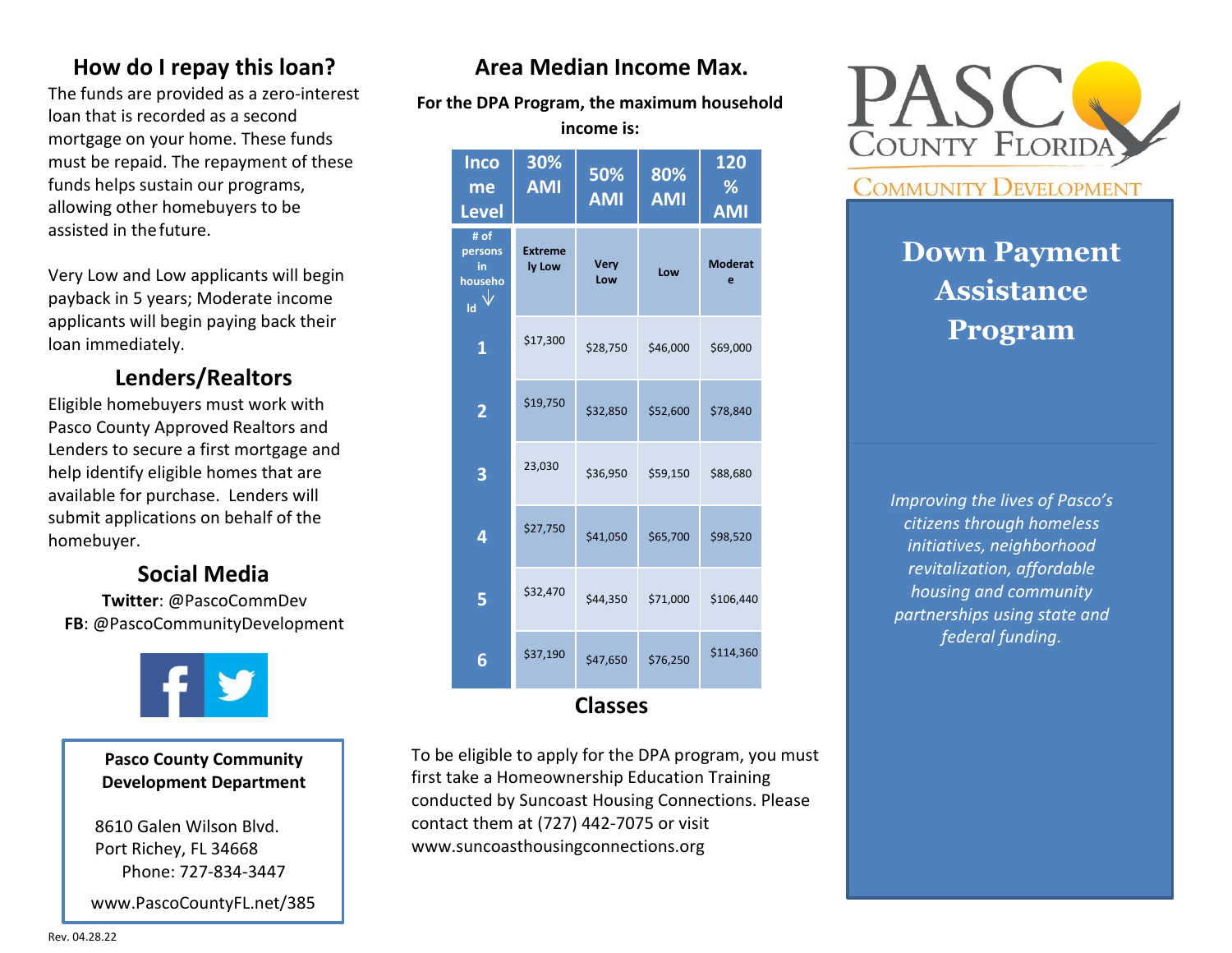## **How do I repay this loan?**

The funds are provided as a zero-interest loan that is recorded as a second mortgage on your home. These funds must be repaid. The repayment of these funds helps sustain our programs, allowing other homebuyers to be assisted in thefuture.

Very Low and Low applicants will begin payback in 5 years; Moderate income applicants will begin paying back their loan immediately.

## **Lenders/Realtors**

Eligible homebuyers must work with Pasco County Approved Realtors and Lenders to secure a first mortgage and help identify eligible homes that are available for purchase. Lenders will submit applications on behalf of the homebuyer.

## **Social Media**

**Twitter**: @PascoCommDev **FB**: @PascoCommunityDevelopment



**Pasco County Community Development Department**

8610 Galen Wilson Blvd. Port Richey, FL 34668 Phone: 727-834-3447

[www.PascoCountyFL.net/385](http://www.pascocountyfl.net/385)

## **Area Median Income Max.**

**For the DPA Program, the maximum household income is:**

| <b>Inco</b><br>me<br><b>Level</b>      | 30%<br><b>AMI</b>        | 50%<br><b>AMI</b>  | 80%<br><b>AMI</b> | 120<br>%<br><b>AMI</b> |  |
|----------------------------------------|--------------------------|--------------------|-------------------|------------------------|--|
| # of<br>persons<br>in<br>househo<br>ld | <b>Extreme</b><br>ly Low | <b>Very</b><br>Low | Low               | <b>Moderat</b><br>e    |  |
| $\mathbf{1}$                           | \$17,300                 | \$28,750           | \$46,000          | \$69,000               |  |
| $\overline{\mathbf{2}}$                | \$19,750                 | \$32,850           | \$52,600          | \$78,840               |  |
| 3                                      | 23,030                   | \$36,950           | \$59,150          | \$88,680               |  |
| 4                                      | \$27,750                 | \$41,050           | \$65,700          | \$98,520               |  |
| 5                                      | \$32,470                 | \$44,350           | \$71,000          | \$106,440              |  |
| 6                                      | \$37,190                 | \$47,650           | \$76,250          | \$114,360              |  |
| <b>Classes</b>                         |                          |                    |                   |                        |  |

To be eligible to apply for the DPA program, you must first take a Homeownership Education Training conducted by Suncoast Housing Connections. Please contact them at (727) 442-7075 or visit www.suncoasthousingconnections.org



**COMMUNITY DEVELOPMENT** 

# **Down Payment Assistance Program**

*Improving the lives of Pasco's citizens through homeless initiatives, neighborhood revitalization, affordable housing and community partnerships using state and federal funding.*